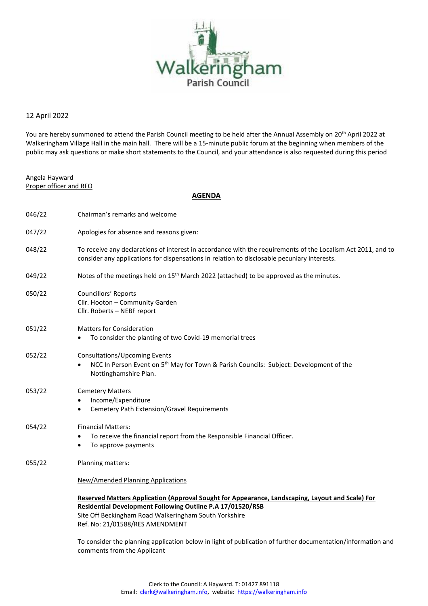

## 12 April 2022

You are hereby summoned to attend the Parish Council meeting to be held after the Annual Assembly on 20<sup>th</sup> April 2022 at Walkeringham Village Hall in the main hall.There will be a 15-minute public forum at the beginning when members of the public may ask questions or make short statements to the Council, and your attendance is also requested during this period

Angela Hayward Proper officer and RFO

## **AGENDA**

| 046/22 | Chairman's remarks and welcome                                                                                                                                                                                                                             |
|--------|------------------------------------------------------------------------------------------------------------------------------------------------------------------------------------------------------------------------------------------------------------|
| 047/22 | Apologies for absence and reasons given:                                                                                                                                                                                                                   |
| 048/22 | To receive any declarations of interest in accordance with the requirements of the Localism Act 2011, and to<br>consider any applications for dispensations in relation to disclosable pecuniary interests.                                                |
| 049/22 | Notes of the meetings held on 15 <sup>th</sup> March 2022 (attached) to be approved as the minutes.                                                                                                                                                        |
| 050/22 | Councillors' Reports<br>Cllr. Hooton - Community Garden<br>Cllr. Roberts - NEBF report                                                                                                                                                                     |
| 051/22 | <b>Matters for Consideration</b><br>To consider the planting of two Covid-19 memorial trees                                                                                                                                                                |
| 052/22 | Consultations/Upcoming Events<br>NCC In Person Event on 5 <sup>th</sup> May for Town & Parish Councils: Subject: Development of the<br>Nottinghamshire Plan.                                                                                               |
| 053/22 | <b>Cemetery Matters</b><br>Income/Expenditure<br>Cemetery Path Extension/Gravel Requirements<br>$\bullet$                                                                                                                                                  |
| 054/22 | <b>Financial Matters:</b><br>To receive the financial report from the Responsible Financial Officer.<br>To approve payments                                                                                                                                |
| 055/22 | Planning matters:                                                                                                                                                                                                                                          |
|        | New/Amended Planning Applications                                                                                                                                                                                                                          |
|        | Reserved Matters Application (Approval Sought for Appearance, Landscaping, Layout and Scale) For<br>Residential Development Following Outline P.A 17/01520/RSB<br>Site Off Beckingham Road Walkeringham South Yorkshire<br>Ref. No: 21/01588/RES AMENDMENT |
|        | To consider the planning application below in light of publication of further documentation/information and                                                                                                                                                |

comments from the Applicant